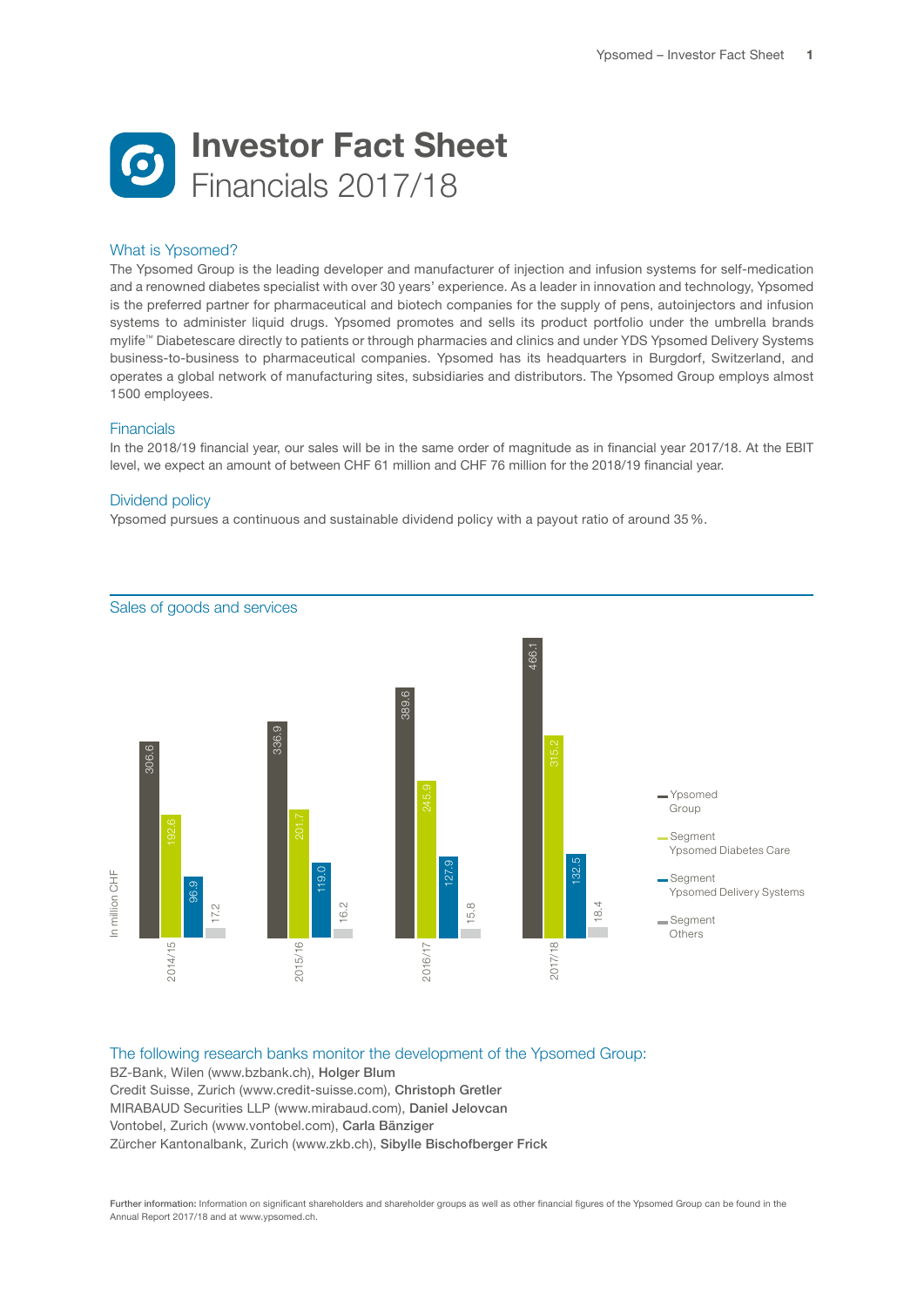

## What is Ypsomed?

The Ypsomed Group is the leading developer and manufacturer of injection and infusion systems for self-medication and a renowned diabetes specialist with over 30 years' experience. As a leader in innovation and technology, Ypsomed is the preferred partner for pharmaceutical and biotech companies for the supply of pens, autoinjectors and infusion systems to administer liquid drugs. Ypsomed promotes and sells its product portfolio under the umbrella brands mylife™ Diabetescare directly to patients or through pharmacies and clinics and under YDS Ypsomed Delivery Systems business-to-business to pharmaceutical companies. Ypsomed has its headquarters in Burgdorf, Switzerland, and operates a global network of manufacturing sites, subsidiaries and distributors. The Ypsomed Group employs almost 1500 employees.

## Financials

In the 2018/19 financial year, our sales will be in the same order of magnitude as in financial year 2017/18. At the EBIT level, we expect an amount of between CHF 61 million and CHF 76 million for the 2018/19 financial year.

## Dividend policy

Ypsomed pursues a continuous and sustainable dividend policy with a payout ratio of around 35%.



Sales of goods and services

## The following research banks monitor the development of the Ypsomed Group:

BZ-Bank, Wilen (www.bzbank.ch), Holger Blum Credit Suisse, Zurich (www.credit-suisse.com), Christoph Gretler MIRABAUD Securities LLP (www.mirabaud.com), Daniel Jelovcan Vontobel, Zurich (www.vontobel.com), Carla Bänziger Zürcher Kantonalbank, Zurich (www.zkb.ch), Sibylle Bischofberger Frick

Further information: Information on significant shareholders and shareholder groups as well as other financial figures of the Ypsomed Group can be found in the Annual Report 2017/18 and at www.ypsomed.ch.